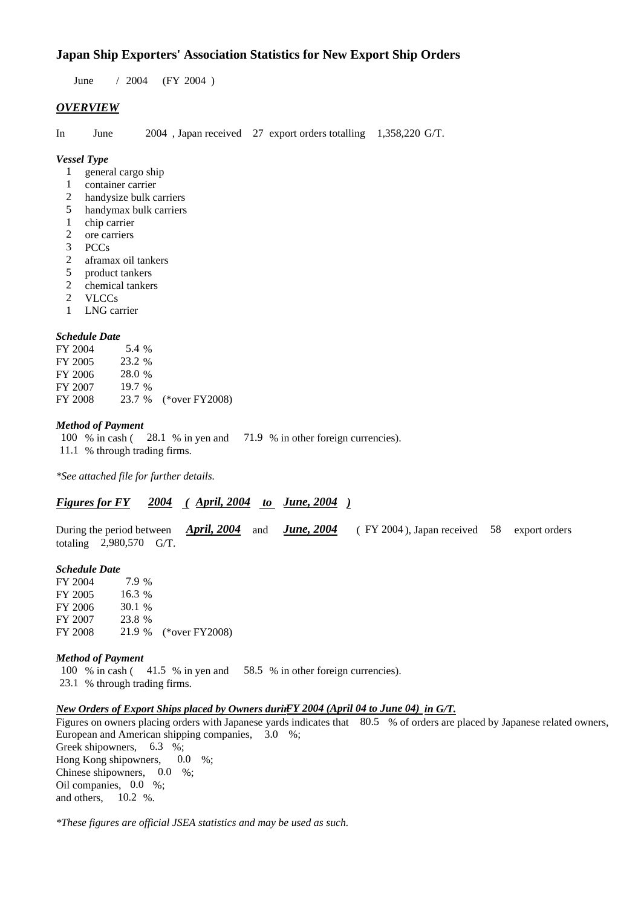# **Japan Ship Exporters' Association Statistics for New Export Ship Orders**

June / 2004 (FY 2004 )

## *OVERVIEW*

In June 2004 , Japan received 27 export orders totalling 1,358,220 G/T.

#### *Vessel Type*

- 1 general cargo ship
- 1 container carrier
- 2 handysize bulk carriers
- 5 handymax bulk carriers<br>1 chip carrier
- chip carrier
- 2 ore carriers
- 3 PCCs
- 2 aframax oil tankers
- 5 product tankers
- 2 chemical tankers
- 2 VLCCs
- 1 LNG carrier

## *Schedule Date*

| FY 2004 | 5.4 %  |                       |
|---------|--------|-----------------------|
| FY 2005 | 23.2 % |                       |
| FY 2006 | 28.0 % |                       |
| FY 2007 | 19.7%  |                       |
| FY 2008 |        | 23.7 % (*over FY2008) |
|         |        |                       |

### *Method of Payment*

100 % in cash ( 28.1 % in yen and 71.9 % in other foreign currencies). 11.1 % through trading firms.

*\*See attached file for further details.*

## *Figures for FY 2004 ( April, 2004 to June, 2004 )*

During the period between *April, 2004* and *June, 2004* ( FY 2004 ), Japan received 58 export orders totaling 2,980,570 G/T.

#### *Schedule Date*

FY 2004 7.9 % FY 2005 16.3 % FY 2006 30.1 % FY 2007 23.8 % FY 2008 21.9 % (\*over FY2008)

#### *Method of Payment*

100 % in cash ( 41.5 % in yen and 58.5 % in other foreign currencies). 23.1 % through trading firms.

## *n New Orders of Export Ships placed by Owners duri FY 2004 (April 04 to June 04) in G/T.*

Figures on owners placing orders with Japanese yards indicates that 80.5 % of orders are placed by Japanese related owners, European and American shipping companies, 3.0 %; Greek shipowners, 6.3 %; Hong Kong shipowners, 0.0 %; Chinese shipowners, 0.0 %; Oil companies, 0.0 %; and others, 10.2 %.

*\*These figures are official JSEA statistics and may be used as such.*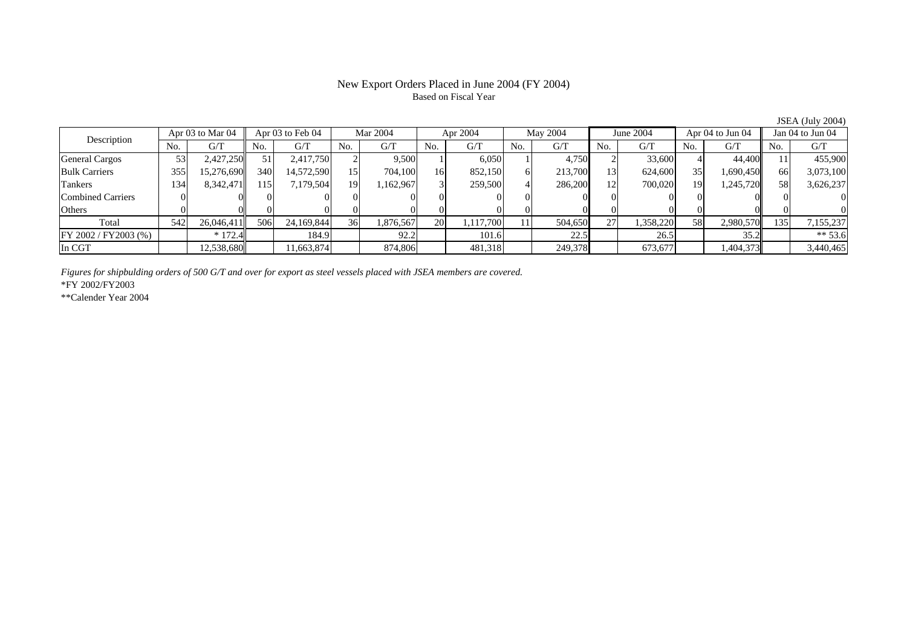## New Export Orders Placed in June 2004 (FY 2004) Based on Fiscal Year

Description Apr 03 to Mar 04 Apr 03 to Feb 04 Mar 2004 Apr 2004 May 2004 June 2004 Apr 04 to Jun 04 Jan 04 to Jun 04 No. $No.$   $G/T$ T || No. | G/T || No. | G/T || No. | G/T || No. | G/T || G/T || No. | G/T || No. | G/T || No. | G/T General Cargos ( 53 2,427,250 51 2,417,750 2 9,500 1 6,050 1 4,750 2 33,600 4 44,400 11 455,900 Bulk Carriers 355 15,276,690 340 14,572,590 15 704,100 16 852,150 6 213,700 13 624,600 35 1,690,450 66 3,073,100 Tankers 1344| 8,342,471|| 115| 7,179,504| 19| 1,162,967| 3| 259,500| 4| 286,200| 12| 700,020| 19| 1,245,720|| 58| 3,626,237 Combined Carriers 1 0 0 0 0 0 0 0 0 0 0 0 0 0 0 0 0 **Others** s and  $\vert 0$  0 0 0 0 0 0 0 0 0 0 0 0 0 0 0 Total 54220,046,411|| 506| 24,169,844| 36| 1,876,567| 20| 1,117,700| 11| 504,650| 27| 1,358,220| 58| 2,980,570|| 135| 7,155,237 FY 2002 / FY2003 (%) \* 172.4 184.9 92.2 101.6 22.5 35.5 35.2 \*\* 53.6 In CGT12,538,680 | 12,538,680 | 11,663,874 | 874,806 | 481,318 | 249,378 | 573,677 | 1,404,373 | 3,440,465

*Figures for shipbulding orders of 500 G/T and over for export as steel vessels placed with JSEA members are covered.*

\*FY 2002/FY2003

\*\*Calender Year 2004

JSEA (July 2004)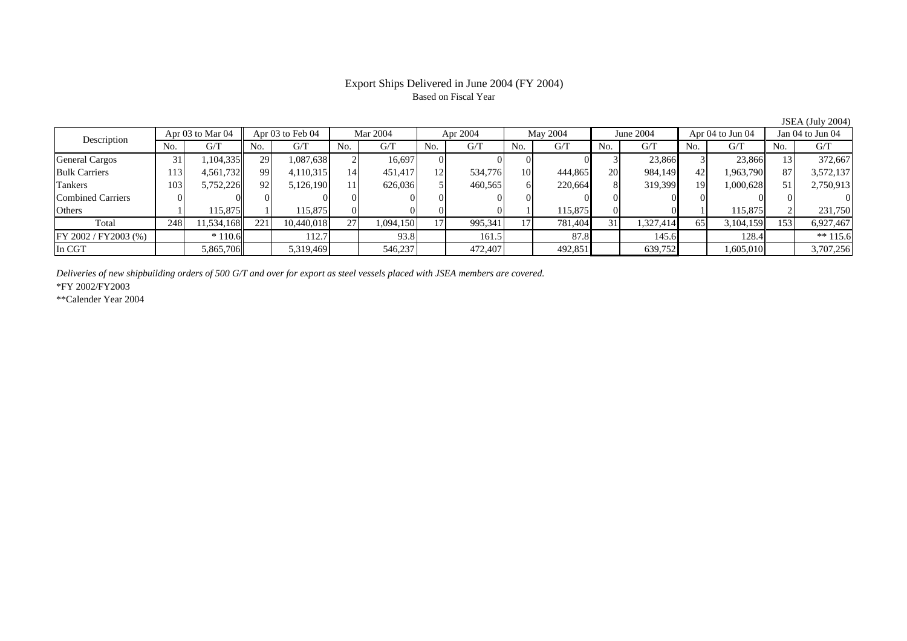## Export Ships Delivered in June 2004 (FY 2004) Based on Fiscal Year

Description Apr 03 to Mar 04 Apr 03 to Feb 04 Mar 2004 Apr 2004 May 2004 June 2004 Apr 04 to Jun 04 Jan 04 to Jun 04 No.No.  $G/T$ T || No. | G/T || No. | G/T || No. | G/T || No. | G/T || G/T || No. | G/T || No. | G/T || No. | G/T General Cargos ( 31 1,104,335 29 1,087,638 2 16,697 0 0 0 0 0 3 23,866 3 23,866 13 372,667 Bulk Carriers 113 4,561,732 99 4,110,315 14 451,417 12 534,776 10 444,865 20 984,149 42 1,963,790 87 3,572,137 Tankers 103 5,752,226 92 5,126,190 11 626,036 5 460,565 6 220,664 8 319,399 19 1,000,628 51 2,750,913 Combined Carriers 0 0 0 0 0 0 0 0 0 0 0 0 0 0 0 0 **Others** s and  $1$ 1 115,875 1 115,875 0 0 0 0 0 1 115,875 0 0 1 115,875 2 231,750 Total 2488| 11,534,168|| 221| 10,440,018| 27| 1,094,150| 17| 995,341| 17| 781,404| 31| 1,327,414| 65| 3,104,159|| 153| 6,927,467 FY 2002 / FY2003 (%) \* 110.6 112.7 93.8 161.5 87.8 145.6 128.4 \*\* 115.6 In CGT5,865,706 5,319,469 546,237 472,407 492,851 639,752 1,605,010 3,707,256

*Deliveries of new shipbuilding orders of 500 G/T and over for export as steel vessels placed with JSEA members are covered.*

\*FY 2002/FY2003

\*\*Calender Year 2004

JSEA (July 2004)